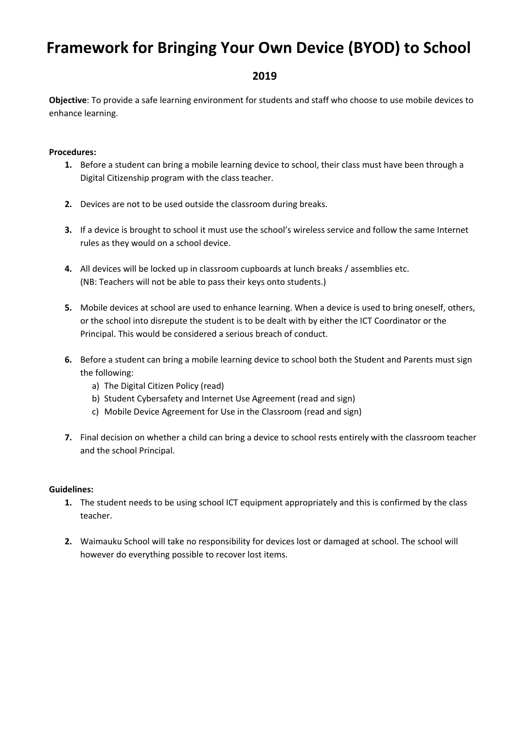# **Framework for Bringing Your Own Device (BYOD) to School**

## **2019**

**Objective**: To provide a safe learning environment for students and staff who choose to use mobile devices to enhance learning.

#### **Procedures:**

- **1.** Before a student can bring a mobile learning device to school, their class must have been through a Digital Citizenship program with the class teacher.
- **2.** Devices are not to be used outside the classroom during breaks.
- **3.** If a device is brought to school it must use the school's wireless service and follow the same Internet rules as they would on a school device.
- **4.** All devices will be locked up in classroom cupboards at lunch breaks / assemblies etc. (NB: Teachers will not be able to pass their keys onto students.)
- **5.** Mobile devices at school are used to enhance learning. When a device is used to bring oneself, others, or the school into disrepute the student is to be dealt with by either the ICT Coordinator or the Principal. This would be considered a serious breach of conduct.
- **6.** Before a student can bring a mobile learning device to school both the Student and Parents must sign the following:
	- a) The Digital Citizen Policy (read)
	- b) Student Cybersafety and Internet Use Agreement (read and sign)
	- c) Mobile Device Agreement for Use in the Classroom (read and sign)
- **7.** Final decision on whether a child can bring a device to school rests entirely with the classroom teacher and the school Principal.

#### **Guidelines:**

- **1.** The student needs to be using school ICT equipment appropriately and this is confirmed by the class teacher.
- **2.** Waimauku School will take no responsibility for devices lost or damaged at school. The school will however do everything possible to recover lost items.